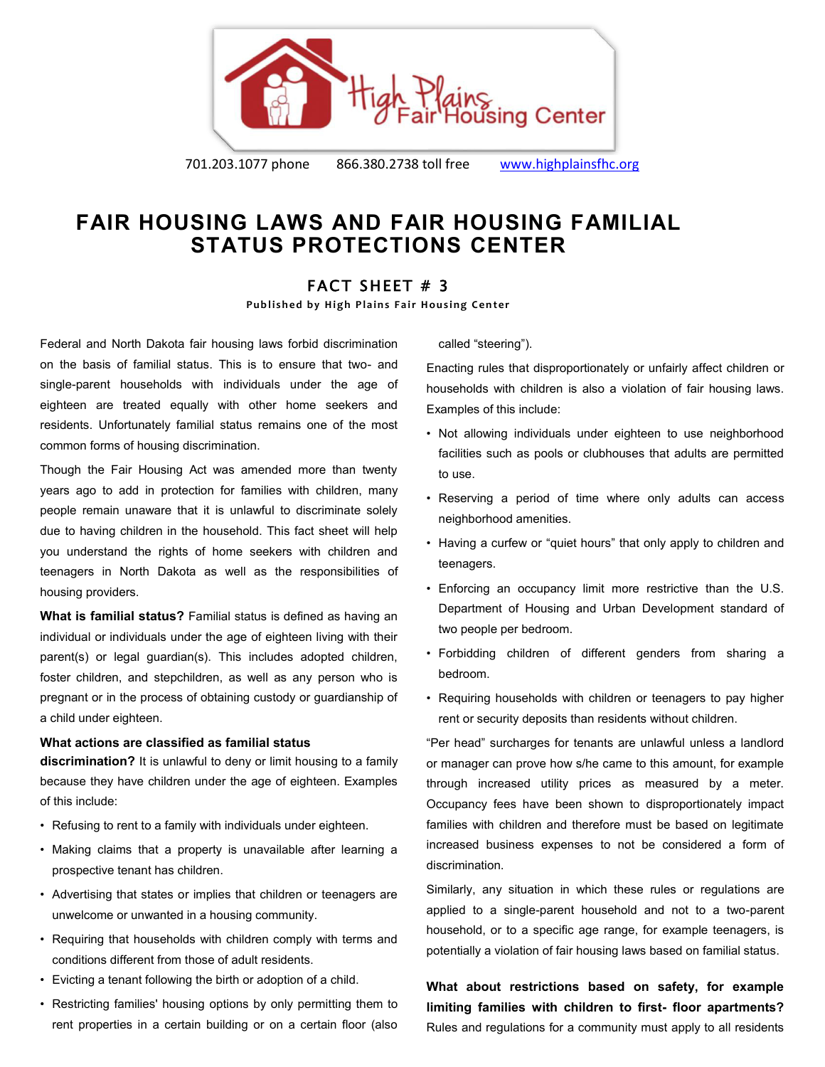

701.203.1077 phone 866.380.2738 toll free [www.highplainsfhc.org](http://www.highplainsfhc.org/)

## **FAIR HOUSING LAWS AND FAIR HOUSING FAMILIAL STATUS PROTECTIONS CENTER**

## FACT SHEET # 3

**Published by High Plains Fair Housing Center** 

Federal and North Dakota fair housing laws forbid discrimination on the basis of familial status. This is to ensure that two- and single-parent households with individuals under the age of eighteen are treated equally with other home seekers and residents. Unfortunately familial status remains one of the most common forms of housing discrimination.

Though the Fair Housing Act was amended more than twenty years ago to add in protection for families with children, many people remain unaware that it is unlawful to discriminate solely due to having children in the household. This fact sheet will help you understand the rights of home seekers with children and teenagers in North Dakota as well as the responsibilities of housing providers.

**What is familial status?** Familial status is defined as having an individual or individuals under the age of eighteen living with their parent(s) or legal guardian(s). This includes adopted children, foster children, and stepchildren, as well as any person who is pregnant or in the process of obtaining custody or guardianship of a child under eighteen.

## **What actions are classified as familial status**

**discrimination?** It is unlawful to deny or limit housing to a family because they have children under the age of eighteen. Examples of this include:

- Refusing to rent to a family with individuals under eighteen.
- Making claims that a property is unavailable after learning a prospective tenant has children.
- Advertising that states or implies that children or teenagers are unwelcome or unwanted in a housing community.
- Requiring that households with children comply with terms and conditions different from those of adult residents.
- Evicting a tenant following the birth or adoption of a child.
- Restricting families' housing options by only permitting them to rent properties in a certain building or on a certain floor (also

called "steering").

Enacting rules that disproportionately or unfairly affect children or households with children is also a violation of fair housing laws. Examples of this include:

- Not allowing individuals under eighteen to use neighborhood facilities such as pools or clubhouses that adults are permitted to use.
- Reserving a period of time where only adults can access neighborhood amenities.
- Having a curfew or "quiet hours" that only apply to children and teenagers.
- Enforcing an occupancy limit more restrictive than the U.S. Department of Housing and Urban Development standard of two people per bedroom.
- Forbidding children of different genders from sharing a bedroom.
- Requiring households with children or teenagers to pay higher rent or security deposits than residents without children.

"Per head" surcharges for tenants are unlawful unless a landlord or manager can prove how s/he came to this amount, for example through increased utility prices as measured by a meter. Occupancy fees have been shown to disproportionately impact families with children and therefore must be based on legitimate increased business expenses to not be considered a form of discrimination.

Similarly, any situation in which these rules or regulations are applied to a single-parent household and not to a two-parent household, or to a specific age range, for example teenagers, is potentially a violation of fair housing laws based on familial status.

**What about restrictions based on safety, for example limiting families with children to first- floor apartments?**  Rules and regulations for a community must apply to all residents